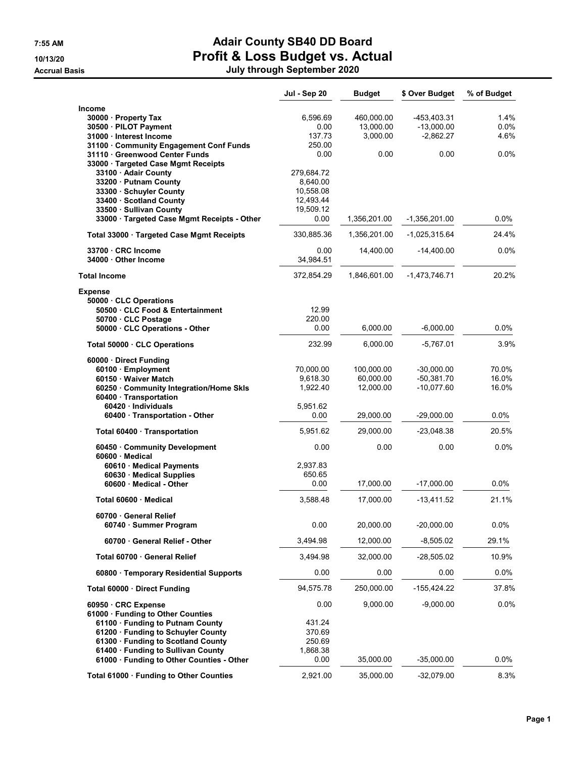## 7:55 AM Adair County SB40 DD Board 10/13/20 Profit & Loss Budget vs. Actual

Accrual Basis July through September 2020

|                                                                                                                                                                                                                | Jul - Sep 20                                                          | <b>Budget</b>                       | \$ Over Budget                             | % of Budget             |
|----------------------------------------------------------------------------------------------------------------------------------------------------------------------------------------------------------------|-----------------------------------------------------------------------|-------------------------------------|--------------------------------------------|-------------------------|
| Income<br>30000 · Property Tax<br>30500 · PILOT Payment<br>31000 Interest Income<br>31100 Community Engagement Conf Funds                                                                                      | 6,596.69<br>0.00<br>137.73<br>250.00                                  | 460,000.00<br>13,000.00<br>3,000.00 | -453,403.31<br>$-13,000.00$<br>$-2,862.27$ | 1.4%<br>$0.0\%$<br>4.6% |
| 31110 Greenwood Center Funds                                                                                                                                                                                   | 0.00                                                                  | 0.00                                | 0.00                                       | $0.0\%$                 |
| 33000 · Targeted Case Mgmt Receipts                                                                                                                                                                            |                                                                       |                                     |                                            |                         |
| 33100 · Adair County<br>33200 · Putnam County<br>33300 · Schuyler County<br>33400 · Scotland County<br>33500 · Sullivan County                                                                                 | 279,684.72<br>8,640.00<br>10,558.08<br>12,493.44<br>19,509.12<br>0.00 | 1,356,201.00                        | $-1,356,201.00$                            | 0.0%                    |
| 33000 · Targeted Case Mgmt Receipts - Other                                                                                                                                                                    |                                                                       |                                     |                                            |                         |
| Total 33000 · Targeted Case Mgmt Receipts                                                                                                                                                                      | 330,885.36                                                            | 1,356,201.00                        | -1,025,315.64                              | 24.4%                   |
| 33700 CRC Income<br>34000 Other Income                                                                                                                                                                         | 0.00<br>34,984.51                                                     | 14,400.00                           | $-14,400.00$                               | $0.0\%$                 |
| <b>Total Income</b>                                                                                                                                                                                            | 372,854.29                                                            | 1,846,601.00                        | $-1,473,746.71$                            | 20.2%                   |
| <b>Expense</b>                                                                                                                                                                                                 |                                                                       |                                     |                                            |                         |
| 50000 · CLC Operations<br>50500 CLC Food & Entertainment                                                                                                                                                       | 12.99                                                                 |                                     |                                            |                         |
| 50700 · CLC Postage<br>50000 · CLC Operations - Other                                                                                                                                                          | 220.00<br>0.00                                                        | 6,000.00                            | $-6,000.00$                                | 0.0%                    |
| Total 50000 CLC Operations                                                                                                                                                                                     | 232.99                                                                | 6,000.00                            | $-5,767.01$                                | 3.9%                    |
| 60000 · Direct Funding<br>60100 · Employment<br>60150 · Waiver Match                                                                                                                                           | 70,000.00<br>9,618.30                                                 | 100,000.00<br>60,000.00             | $-30,000.00$<br>$-50,381.70$               | 70.0%<br>16.0%          |
| 60250 Community Integration/Home Skls<br>60400 · Transportation                                                                                                                                                | 1,922.40                                                              | 12,000.00                           | $-10,077.60$                               | 16.0%                   |
| 60420 · Individuals<br>60400 · Transportation - Other                                                                                                                                                          | 5,951.62<br>0.00                                                      | 29,000.00                           | $-29,000.00$                               | 0.0%                    |
| Total 60400 Transportation                                                                                                                                                                                     | 5,951.62                                                              | 29,000.00                           | $-23,048.38$                               | 20.5%                   |
| 60450 Community Development                                                                                                                                                                                    | 0.00                                                                  | 0.00                                | 0.00                                       | 0.0%                    |
| 60600 Medical<br>60610 · Medical Payments<br>60630 · Medical Supplies<br>60600 · Medical - Other                                                                                                               | 2,937.83<br>650.65<br>0.00                                            | 17,000.00                           | $-17,000.00$                               | $0.0\%$                 |
| Total 60600 Medical                                                                                                                                                                                            | 3,588.48                                                              | 17,000.00                           | $-13,411.52$                               | 21.1%                   |
| 60700 General Relief<br>60740 · Summer Program                                                                                                                                                                 | 0.00                                                                  | 20,000.00                           | $-20,000.00$                               | 0.0%                    |
| 60700 General Relief - Other                                                                                                                                                                                   | 3,494.98                                                              | 12,000.00                           | $-8,505.02$                                | 29.1%                   |
| Total 60700 General Relief                                                                                                                                                                                     | 3,494.98                                                              | 32,000.00                           | $-28,505.02$                               | 10.9%                   |
| 60800 · Temporary Residential Supports                                                                                                                                                                         | 0.00                                                                  | 0.00                                | 0.00                                       | 0.0%                    |
| Total 60000 · Direct Funding                                                                                                                                                                                   | 94,575.78                                                             | 250,000.00                          | $-155,424.22$                              | 37.8%                   |
| 60950 · CRC Expense<br>61000 · Funding to Other Counties<br>61100 · Funding to Putnam County<br>61200 · Funding to Schuyler County<br>61300 · Funding to Scotland County<br>61400 · Funding to Sullivan County | 0.00<br>431.24<br>370.69<br>250.69<br>1,868.38                        | 9,000.00                            | $-9,000.00$                                | 0.0%                    |
| 61000 · Funding to Other Counties - Other                                                                                                                                                                      | 0.00                                                                  | 35,000.00                           | $-35,000.00$                               | 0.0%                    |
| Total 61000 · Funding to Other Counties                                                                                                                                                                        | 2,921.00                                                              | 35,000.00                           | $-32,079.00$                               | 8.3%                    |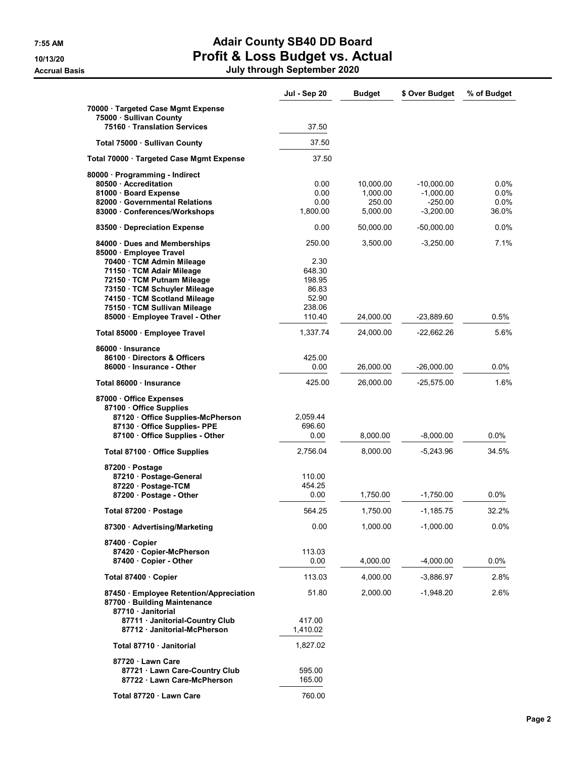## 7:55 AM Adair County SB40 DD Board 10/13/20 Profit & Loss Budget vs. Actual

Accrual Basis July through September 2020

|                                                               | Jul - Sep 20    | <b>Budget</b>         | \$ Over Budget              | % of Budget     |
|---------------------------------------------------------------|-----------------|-----------------------|-----------------------------|-----------------|
| 70000 · Targeted Case Mgmt Expense<br>75000 · Sullivan County |                 |                       |                             |                 |
| 75160 Translation Services                                    | 37.50           |                       |                             |                 |
| Total 75000 Sullivan County                                   | 37.50           |                       |                             |                 |
| Total 70000 · Targeted Case Mgmt Expense                      | 37.50           |                       |                             |                 |
| 80000 · Programming - Indirect                                |                 |                       |                             |                 |
| 80500 Accreditation<br>81000 · Board Expense                  | 0.00<br>0.00    | 10,000.00<br>1,000.00 | $-10,000.00$<br>$-1,000.00$ | $0.0\%$<br>0.0% |
| 82000 Governmental Relations                                  | 0.00            | 250.00                | $-250.00$                   | $0.0\%$         |
| 83000 Conferences/Workshops                                   | 1,800.00        | 5,000.00              | $-3,200.00$                 | 36.0%           |
| 83500 Depreciation Expense                                    | 0.00            | 50,000.00             | $-50,000.00$                | $0.0\%$         |
| 84000 · Dues and Memberships<br>85000 · Employee Travel       | 250.00          | 3,500.00              | $-3,250.00$                 | 7.1%            |
| 70400 · TCM Admin Mileage                                     | 2.30            |                       |                             |                 |
| 71150 · TCM Adair Mileage                                     | 648.30          |                       |                             |                 |
| 72150 · TCM Putnam Mileage<br>73150 · TCM Schuyler Mileage    | 198.95<br>86.83 |                       |                             |                 |
| 74150 · TCM Scotland Mileage                                  | 52.90           |                       |                             |                 |
| 75150 · TCM Sullivan Mileage                                  | 238.06          |                       |                             |                 |
| 85000 · Employee Travel - Other                               | 110.40          | 24,000.00             | -23,889.60                  | 0.5%            |
| Total 85000 · Employee Travel                                 | 1,337.74        | 24,000.00             | $-22,662.26$                | 5.6%            |
| 86000 · Insurance                                             |                 |                       |                             |                 |
| 86100 Directors & Officers                                    | 425.00          |                       |                             |                 |
| 86000 · Insurance - Other                                     | 0.00            | 26,000.00             | $-26,000.00$                | 0.0%            |
| Total 86000 · Insurance                                       | 425.00          | 26,000.00             | $-25,575.00$                | 1.6%            |
| 87000 Office Expenses                                         |                 |                       |                             |                 |
| 87100 Office Supplies<br>87120 Office Supplies-McPherson      | 2,059.44        |                       |                             |                 |
| 87130 Office Supplies- PPE                                    | 696.60          |                       |                             |                 |
| 87100 · Office Supplies - Other                               | 0.00            | 8,000.00              | $-8,000.00$                 | 0.0%            |
| Total 87100 · Office Supplies                                 | 2,756.04        | 8,000.00              | $-5,243.96$                 | 34.5%           |
| 87200 · Postage                                               |                 |                       |                             |                 |
| 87210 · Postage-General                                       | 110.00          |                       |                             |                 |
| 87220 · Postage-TCM                                           | 454.25          |                       |                             |                 |
| 87200 · Postage - Other                                       | 0.00            | 1,750.00              | $-1,750.00$                 | 0.0%            |
| Total 87200 · Postage                                         | 564.25          | 1,750.00              | $-1,185.75$                 | 32.2%           |
| 87300 · Advertising/Marketing                                 | 0.00            | 1,000.00              | $-1,000.00$                 | 0.0%            |
| 87400 Copier                                                  |                 |                       |                             |                 |
| 87420 Copier-McPherson<br>87400 Copier - Other                | 113.03<br>0.00  | 4,000.00              | $-4,000.00$                 | 0.0%            |
| Total 87400 Copier                                            | 113.03          | 4,000.00              | $-3,886.97$                 | 2.8%            |
| 87450 · Employee Retention/Appreciation                       | 51.80           | 2,000.00              | $-1,948.20$                 | 2.6%            |
| 87700 · Building Maintenance<br>87710 · Janitorial            |                 |                       |                             |                 |
| 87711 · Janitorial-Country Club                               | 417.00          |                       |                             |                 |
| 87712 Janitorial-McPherson                                    | 1,410.02        |                       |                             |                 |
| Total 87710 · Janitorial                                      | 1,827.02        |                       |                             |                 |
| 87720 Lawn Care                                               |                 |                       |                             |                 |
| 87721 · Lawn Care-Country Club                                | 595.00          |                       |                             |                 |
| 87722 · Lawn Care-McPherson                                   | 165.00          |                       |                             |                 |
| Total 87720 · Lawn Care                                       | 760.00          |                       |                             |                 |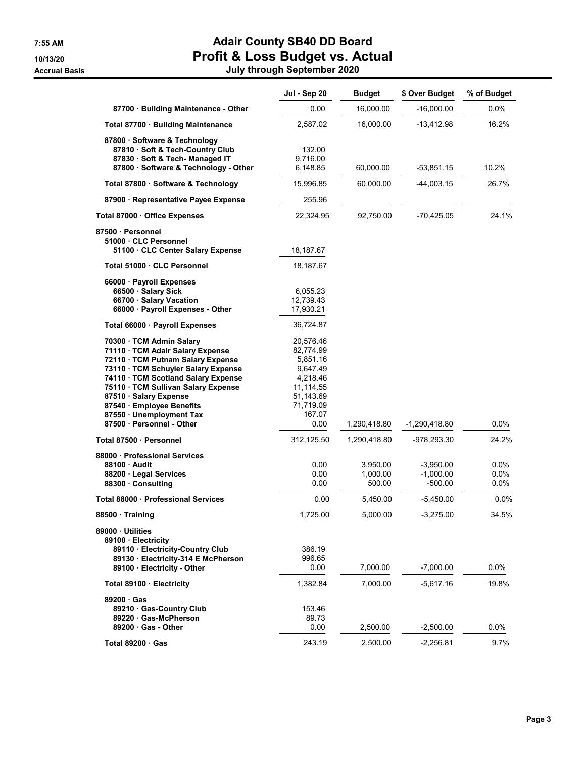## 7:55 AM Adair County SB40 DD Board 10/13/20 Profit & Loss Budget vs. Actual

| July through September 2020 |
|-----------------------------|

|                                                                                                                                                                                                                                                                                                           | Jul - Sep 20                                                                                                | <b>Budget</b>                  | \$ Over Budget                          | % of Budget             |
|-----------------------------------------------------------------------------------------------------------------------------------------------------------------------------------------------------------------------------------------------------------------------------------------------------------|-------------------------------------------------------------------------------------------------------------|--------------------------------|-----------------------------------------|-------------------------|
| 87700 · Building Maintenance - Other                                                                                                                                                                                                                                                                      | 0.00                                                                                                        | 16,000.00                      | $-16,000.00$                            | $0.0\%$                 |
| Total 87700 · Building Maintenance                                                                                                                                                                                                                                                                        | 2,587.02                                                                                                    | 16,000.00                      | -13,412.98                              | 16.2%                   |
| 87800 · Software & Technology<br>87810 · Soft & Tech-Country Club<br>87830 · Soft & Tech- Managed IT<br>87800 · Software & Technology - Other                                                                                                                                                             | 132.00<br>9,716.00<br>6,148.85                                                                              | 60,000.00                      | -53,851.15                              | 10.2%                   |
| Total 87800 · Software & Technology                                                                                                                                                                                                                                                                       | 15,996.85                                                                                                   | 60,000.00                      | -44,003.15                              | 26.7%                   |
| 87900 · Representative Payee Expense                                                                                                                                                                                                                                                                      | 255.96                                                                                                      |                                |                                         |                         |
| Total 87000 · Office Expenses                                                                                                                                                                                                                                                                             | 22,324.95                                                                                                   | 92,750.00                      | $-70,425.05$                            | 24.1%                   |
| 87500 · Personnel<br>51000 · CLC Personnel<br>51100 · CLC Center Salary Expense                                                                                                                                                                                                                           | 18,187.67                                                                                                   |                                |                                         |                         |
| Total 51000 · CLC Personnel                                                                                                                                                                                                                                                                               | 18,187.67                                                                                                   |                                |                                         |                         |
| 66000 · Payroll Expenses<br>66500 · Salary Sick<br>66700 · Salary Vacation<br>66000 · Payroll Expenses - Other                                                                                                                                                                                            | 6,055.23<br>12,739.43<br>17,930.21                                                                          |                                |                                         |                         |
| Total 66000 · Payroll Expenses                                                                                                                                                                                                                                                                            | 36,724.87                                                                                                   |                                |                                         |                         |
| 70300 · TCM Admin Salary<br>71110 · TCM Adair Salary Expense<br>72110 · TCM Putnam Salary Expense<br>73110 · TCM Schuyler Salary Expense<br>74110 · TCM Scotland Salary Expense<br>75110 · TCM Sullivan Salary Expense<br>87510 · Salary Expense<br>87540 · Employee Benefits<br>87550 · Unemployment Tax | 20,576.46<br>82,774.99<br>5,851.16<br>9,647.49<br>4,218.46<br>11,114.55<br>51,143.69<br>71,719.09<br>167.07 |                                |                                         |                         |
| 87500 · Personnel - Other                                                                                                                                                                                                                                                                                 | 0.00                                                                                                        | 1,290,418.80                   | $-1,290,418.80$                         | 0.0%                    |
| Total 87500 · Personnel                                                                                                                                                                                                                                                                                   | 312,125.50                                                                                                  | 1,290,418.80                   | -978,293.30                             | 24.2%                   |
| 88000 Professional Services<br>88100 Audit<br>88200 · Legal Services<br>88300 Consulting                                                                                                                                                                                                                  | 0.00<br>0.00<br>0.00                                                                                        | 3,950.00<br>1,000.00<br>500.00 | $-3,950.00$<br>$-1,000.00$<br>$-500.00$ | 0.0%<br>0.0%<br>$0.0\%$ |
| Total 88000 · Professional Services                                                                                                                                                                                                                                                                       | 0.00                                                                                                        | 5,450.00                       | -5,450.00                               | 0.0%                    |
| 88500 · Training                                                                                                                                                                                                                                                                                          | 1,725.00                                                                                                    | 5,000.00                       | $-3,275.00$                             | 34.5%                   |
| 89000 Utilities<br>89100 · Electricity<br>89110 · Electricity-Country Club<br>89130 · Electricity-314 E McPherson<br>89100 · Electricity - Other                                                                                                                                                          | 386.19<br>996.65<br>0.00                                                                                    | 7,000.00                       | $-7,000.00$                             | 0.0%                    |
| Total 89100 Electricity                                                                                                                                                                                                                                                                                   | 1,382.84                                                                                                    | 7,000.00                       | -5,617.16                               | 19.8%                   |
| $89200 \cdot Gas$<br>89210 Gas-Country Club<br>89220 Gas-McPherson<br>$89200 \cdot Gas$ - Other                                                                                                                                                                                                           | 153.46<br>89.73<br>0.00                                                                                     | 2,500.00                       | $-2,500.00$                             | $0.0\%$                 |
| Total 89200 Gas                                                                                                                                                                                                                                                                                           | 243.19                                                                                                      | 2,500.00                       | $-2,256.81$                             | 9.7%                    |